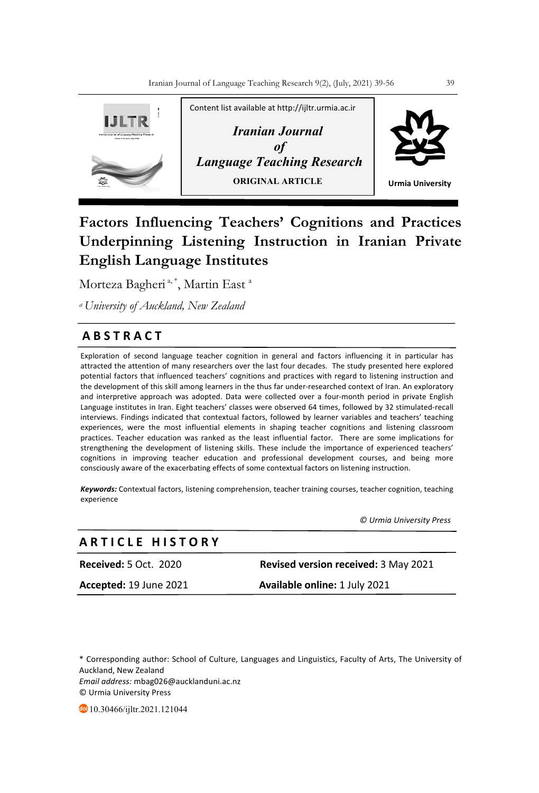

# **Factors Influencing Teachers' Cognitions and Practices Underpinning Listening Instruction in Iranian Private English Language Institutes**

Morteza Bagheri<sup>a,\*</sup>, Martin East<sup>a</sup>

*a University of Auckland, New Zealand*

# **A B S T R A C T**

Exploration of second language teacher cognition in general and factors influencing it in particular has attracted the attention of many researchers over the last four decades. The study presented here explored potential factors that influenced teachers' cognitions and practices with regard to listening instruction and the development of this skill among learners in the thus far under-researched context of Iran. An exploratory and interpretive approach was adopted. Data were collected over a four-month period in private English Language institutes in Iran. Eight teachers' classes were observed 64 times, followed by 32 stimulated-recall interviews. Findings indicated that contextual factors, followed by learner variables and teachers' teaching experiences, were the most influential elements in shaping teacher cognitions and listening classroom practices. Teacher education was ranked as the least influential factor. There are some implications for strengthening the development of listening skills. These include the importance of experienced teachers' cognitions in improving teacher education and professional development courses, and being more consciously aware of the exacerbating effects of some contextual factors on listening instruction.

*Keywords:* Contextual factors, listening comprehension, teacher training courses, teacher cognition, teaching experience

 *© Urmia University Press*

# **A R T I C L E H I S T O R Y**

| <b>Received: 5 Oct. 2020</b> | <b>Revised version received: 3 May 2021</b> |
|------------------------------|---------------------------------------------|
| Accepted: 19 June 2021       | <b>Available online: 1 July 2021</b>        |

\* Corresponding author: School of Culture, Languages and Linguistics, Faculty of Arts, The University of Auckland, New Zealand *Email address:* mbag026@aucklanduni.ac.nz © Urmia University Press

10.30466/ijltr.2021.121044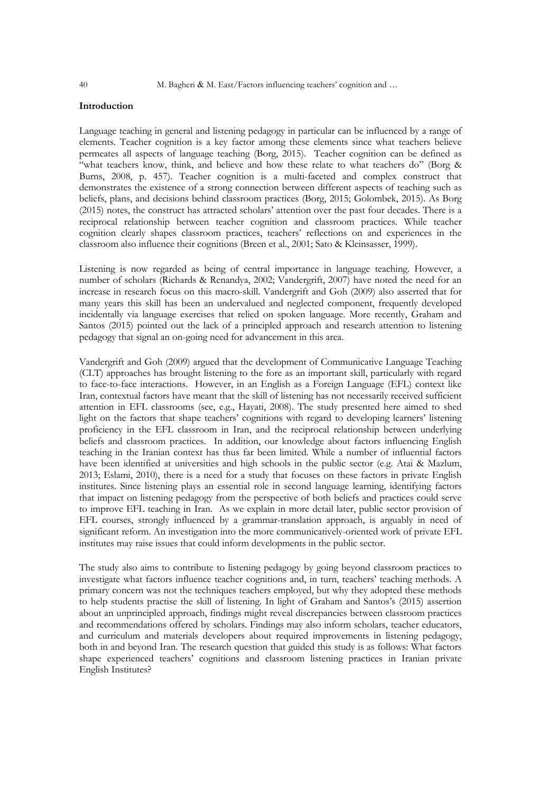# **Introduction**

Language teaching in general and listening pedagogy in particular can be influenced by a range of elements. Teacher cognition is a key factor among these elements since what teachers believe permeates all aspects of language teaching (Borg, 2015). Teacher cognition can be defined as "what teachers know, think, and believe and how these relate to what teachers do" (Borg & Burns, 2008, p. 457). Teacher cognition is a multi-faceted and complex construct that demonstrates the existence of a strong connection between different aspects of teaching such as beliefs, plans, and decisions behind classroom practices (Borg, 2015; Golombek, 2015). As Borg (2015) notes, the construct has attracted scholars' attention over the past four decades. There is a reciprocal relationship between teacher cognition and classroom practices. While teacher cognition clearly shapes classroom practices, teachers' reflections on and experiences in the classroom also influence their cognitions (Breen et al., 2001; Sato & Kleinsasser, 1999).

Listening is now regarded as being of central importance in language teaching. However, a number of scholars (Richards & Renandya, 2002; Vandergrift, 2007) have noted the need for an increase in research focus on this macro-skill. Vandergrift and Goh (2009) also asserted that for many years this skill has been an undervalued and neglected component, frequently developed incidentally via language exercises that relied on spoken language. More recently, Graham and Santos (2015) pointed out the lack of a principled approach and research attention to listening pedagogy that signal an on-going need for advancement in this area.

Vandergrift and Goh (2009) argued that the development of Communicative Language Teaching (CLT) approaches has brought listening to the fore as an important skill, particularly with regard to face-to-face interactions. However, in an English as a Foreign Language (EFL) context like Iran, contextual factors have meant that the skill of listening has not necessarily received sufficient attention in EFL classrooms (see, e.g., Hayati, 2008). The study presented here aimed to shed light on the factors that shape teachers' cognitions with regard to developing learners' listening proficiency in the EFL classroom in Iran, and the reciprocal relationship between underlying beliefs and classroom practices. In addition, our knowledge about factors influencing English teaching in the Iranian context has thus far been limited. While a number of influential factors have been identified at universities and high schools in the public sector (e.g. Atai & Mazlum, 2013; Eslami, 2010), there is a need for a study that focuses on these factors in private English institutes. Since listening plays an essential role in second language learning, identifying factors that impact on listening pedagogy from the perspective of both beliefs and practices could serve to improve EFL teaching in Iran. As we explain in more detail later, public sector provision of EFL courses, strongly influenced by a grammar-translation approach, is arguably in need of significant reform. An investigation into the more communicatively-oriented work of private EFL institutes may raise issues that could inform developments in the public sector.

The study also aims to contribute to listening pedagogy by going beyond classroom practices to investigate what factors influence teacher cognitions and, in turn, teachers' teaching methods. A primary concern was not the techniques teachers employed, but why they adopted these methods to help students practise the skill of listening. In light of Graham and Santos's (2015) assertion about an unprincipled approach, findings might reveal discrepancies between classroom practices and recommendations offered by scholars. Findings may also inform scholars, teacher educators, and curriculum and materials developers about required improvements in listening pedagogy, both in and beyond Iran. The research question that guided this study is as follows: What factors shape experienced teachers' cognitions and classroom listening practices in Iranian private English Institutes?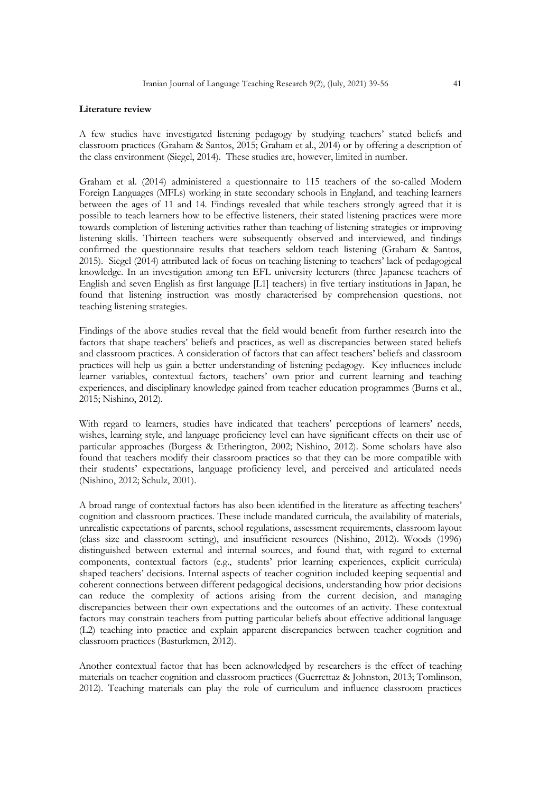## **Literature review**

A few studies have investigated listening pedagogy by studying teachers' stated beliefs and classroom practices (Graham & Santos, 2015; Graham et al., 2014) or by offering a description of the class environment (Siegel, 2014). These studies are, however, limited in number.

Graham et al. (2014) administered a questionnaire to 115 teachers of the so-called Modern Foreign Languages (MFLs) working in state secondary schools in England, and teaching learners between the ages of 11 and 14. Findings revealed that while teachers strongly agreed that it is possible to teach learners how to be effective listeners, their stated listening practices were more towards completion of listening activities rather than teaching of listening strategies or improving listening skills. Thirteen teachers were subsequently observed and interviewed, and findings confirmed the questionnaire results that teachers seldom teach listening (Graham & Santos, 2015). Siegel (2014) attributed lack of focus on teaching listening to teachers' lack of pedagogical knowledge. In an investigation among ten EFL university lecturers (three Japanese teachers of English and seven English as first language [L1] teachers) in five tertiary institutions in Japan, he found that listening instruction was mostly characterised by comprehension questions, not teaching listening strategies.

Findings of the above studies reveal that the field would benefit from further research into the factors that shape teachers' beliefs and practices, as well as discrepancies between stated beliefs and classroom practices. A consideration of factors that can affect teachers' beliefs and classroom practices will help us gain a better understanding of listening pedagogy. Key influences include learner variables, contextual factors, teachers' own prior and current learning and teaching experiences, and disciplinary knowledge gained from teacher education programmes (Burns et al., 2015; Nishino, 2012).

With regard to learners, studies have indicated that teachers' perceptions of learners' needs, wishes, learning style, and language proficiency level can have significant effects on their use of particular approaches (Burgess & Etherington, 2002; Nishino, 2012). Some scholars have also found that teachers modify their classroom practices so that they can be more compatible with their students' expectations, language proficiency level, and perceived and articulated needs (Nishino, 2012; Schulz, 2001).

A broad range of contextual factors has also been identified in the literature as affecting teachers' cognition and classroom practices. These include mandated curricula, the availability of materials, unrealistic expectations of parents, school regulations, assessment requirements, classroom layout (class size and classroom setting), and insufficient resources (Nishino, 2012). Woods (1996) distinguished between external and internal sources, and found that, with regard to external components, contextual factors (e.g., students' prior learning experiences, explicit curricula) shaped teachers' decisions. Internal aspects of teacher cognition included keeping sequential and coherent connections between different pedagogical decisions, understanding how prior decisions can reduce the complexity of actions arising from the current decision, and managing discrepancies between their own expectations and the outcomes of an activity. These contextual factors may constrain teachers from putting particular beliefs about effective additional language (L2) teaching into practice and explain apparent discrepancies between teacher cognition and classroom practices (Basturkmen, 2012).

Another contextual factor that has been acknowledged by researchers is the effect of teaching materials on teacher cognition and classroom practices (Guerrettaz & Johnston, 2013; Tomlinson, 2012). Teaching materials can play the role of curriculum and influence classroom practices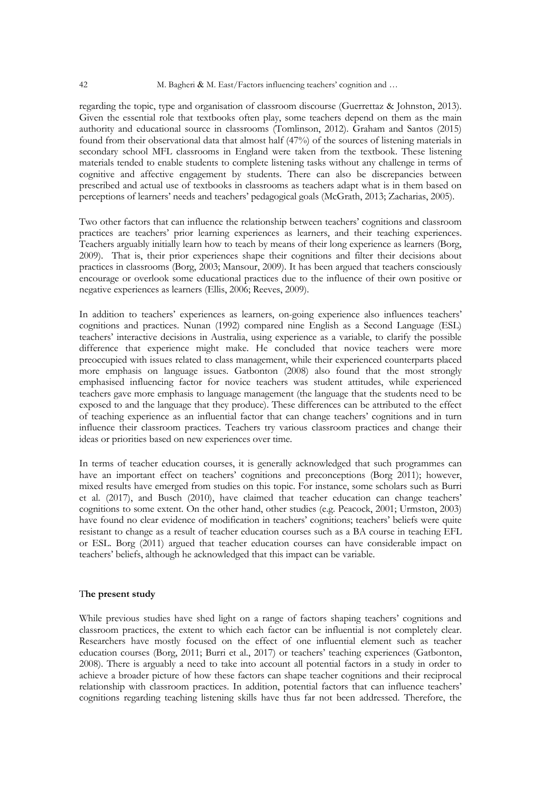regarding the topic, type and organisation of classroom discourse (Guerrettaz & Johnston, 2013). Given the essential role that textbooks often play, some teachers depend on them as the main authority and educational source in classrooms (Tomlinson, 2012). Graham and Santos (2015) found from their observational data that almost half (47%) of the sources of listening materials in secondary school MFL classrooms in England were taken from the textbook. These listening materials tended to enable students to complete listening tasks without any challenge in terms of cognitive and affective engagement by students. There can also be discrepancies between prescribed and actual use of textbooks in classrooms as teachers adapt what is in them based on perceptions of learners' needs and teachers' pedagogical goals (McGrath, 2013; Zacharias, 2005).

Two other factors that can influence the relationship between teachers' cognitions and classroom practices are teachers' prior learning experiences as learners, and their teaching experiences. Teachers arguably initially learn how to teach by means of their long experience as learners (Borg, 2009). That is, their prior experiences shape their cognitions and filter their decisions about practices in classrooms (Borg, 2003; Mansour, 2009). It has been argued that teachers consciously encourage or overlook some educational practices due to the influence of their own positive or negative experiences as learners (Ellis, 2006; Reeves, 2009).

In addition to teachers' experiences as learners, on-going experience also influences teachers' cognitions and practices. Nunan (1992) compared nine English as a Second Language (ESL) teachers' interactive decisions in Australia, using experience as a variable, to clarify the possible difference that experience might make. He concluded that novice teachers were more preoccupied with issues related to class management, while their experienced counterparts placed more emphasis on language issues. Gatbonton (2008) also found that the most strongly emphasised influencing factor for novice teachers was student attitudes, while experienced teachers gave more emphasis to language management (the language that the students need to be exposed to and the language that they produce). These differences can be attributed to the effect of teaching experience as an influential factor that can change teachers' cognitions and in turn influence their classroom practices. Teachers try various classroom practices and change their ideas or priorities based on new experiences over time.

In terms of teacher education courses, it is generally acknowledged that such programmes can have an important effect on teachers' cognitions and preconceptions (Borg 2011); however, mixed results have emerged from studies on this topic. For instance, some scholars such as Burri et al. (2017), and Busch (2010), have claimed that teacher education can change teachers' cognitions to some extent. On the other hand, other studies (e.g. Peacock, 2001; Urmston, 2003) have found no clear evidence of modification in teachers' cognitions; teachers' beliefs were quite resistant to change as a result of teacher education courses such as a BA course in teaching EFL or ESL. Borg (2011) argued that teacher education courses can have considerable impact on teachers' beliefs, although he acknowledged that this impact can be variable.

#### T**he present study**

While previous studies have shed light on a range of factors shaping teachers' cognitions and classroom practices, the extent to which each factor can be influential is not completely clear. Researchers have mostly focused on the effect of one influential element such as teacher education courses (Borg, 2011; Burri et al., 2017) or teachers' teaching experiences (Gatbonton, 2008). There is arguably a need to take into account all potential factors in a study in order to achieve a broader picture of how these factors can shape teacher cognitions and their reciprocal relationship with classroom practices. In addition, potential factors that can influence teachers' cognitions regarding teaching listening skills have thus far not been addressed. Therefore, the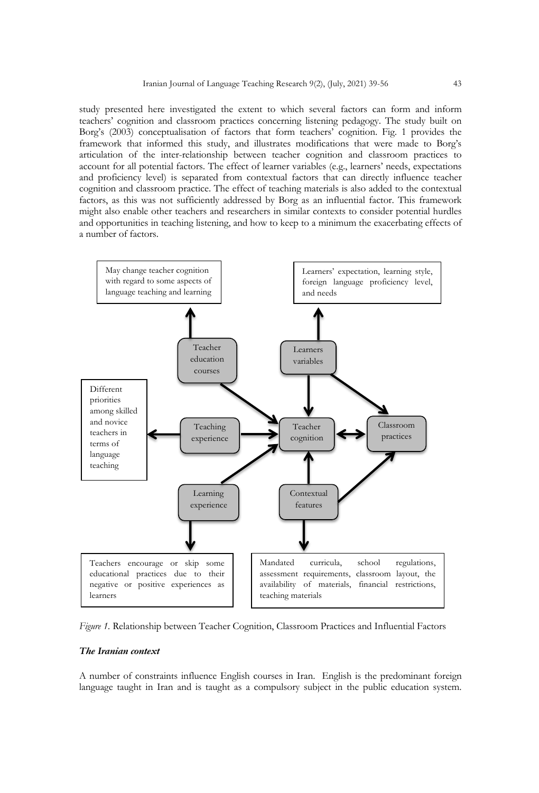study presented here investigated the extent to which several factors can form and inform teachers' cognition and classroom practices concerning listening pedagogy. The study built on Borg's (2003) conceptualisation of factors that form teachers' cognition. Fig. 1 provides the framework that informed this study, and illustrates modifications that were made to Borg's articulation of the inter-relationship between teacher cognition and classroom practices to account for all potential factors. The effect of learner variables (e.g., learners' needs, expectations and proficiency level) is separated from contextual factors that can directly influence teacher cognition and classroom practice. The effect of teaching materials is also added to the contextual factors, as this was not sufficiently addressed by Borg as an influential factor. This framework might also enable other teachers and researchers in similar contexts to consider potential hurdles and opportunities in teaching listening, and how to keep to a minimum the exacerbating effects of a number of factors.



*Figure 1.* Relationship between Teacher Cognition, Classroom Practices and Influential Factors

## *The Iranian context*

A number of constraints influence English courses in Iran. English is the predominant foreign language taught in Iran and is taught as a compulsory subject in the public education system.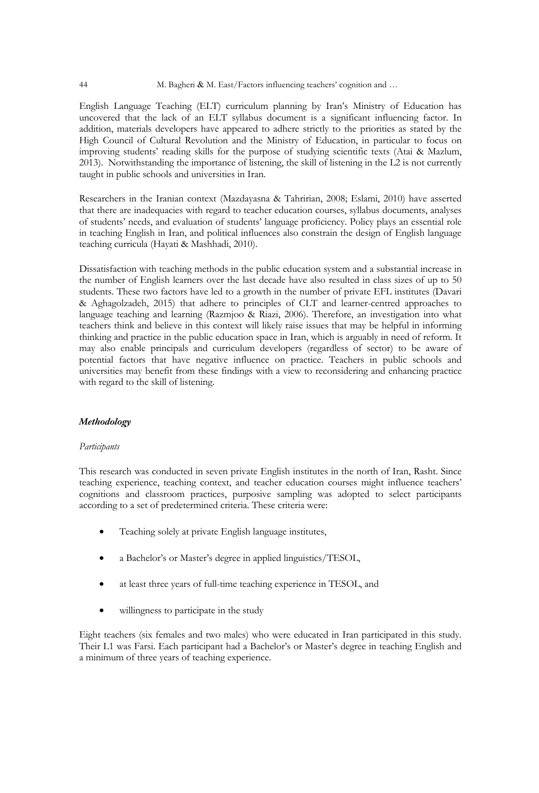English Language Teaching (ELT) curriculum planning by Iran's Ministry of Education has uncovered that the lack of an ELT syllabus document is a significant influencing factor. In addition, materials developers have appeared to adhere strictly to the priorities as stated by the High Council of Cultural Revolution and the Ministry of Education, in particular to focus on improving students' reading skills for the purpose of studying scientific texts (Atai & Mazlum, 2013). Notwithstanding the importance of listening, the skill of listening in the L2 is not currently taught in public schools and universities in Iran.

Researchers in the Iranian context (Mazdayasna & Tahririan, 2008; Eslami, 2010) have asserted that there are inadequacies with regard to teacher education courses, syllabus documents, analyses of students' needs, and evaluation of students' language proficiency. Policy plays an essential role in teaching English in Iran, and political influences also constrain the design of English language teaching curricula (Hayati & Mashhadi, 2010).

Dissatisfaction with teaching methods in the public education system and a substantial increase in the number of English learners over the last decade have also resulted in class sizes of up to 50 students. These two factors have led to a growth in the number of private EFL institutes (Davari & Aghagolzadeh, 2015) that adhere to principles of CLT and learner-centred approaches to language teaching and learning (Razmjoo & Riazi, 2006). Therefore, an investigation into what teachers think and believe in this context will likely raise issues that may be helpful in informing thinking and practice in the public education space in Iran, which is arguably in need of reform. It may also enable principals and curriculum developers (regardless of sector) to be aware of potential factors that have negative influence on practice. Teachers in public schools and universities may benefit from these findings with a view to reconsidering and enhancing practice with regard to the skill of listening.

## *Methodology*

## *Participants*

This research was conducted in seven private English institutes in the north of Iran, Rasht. Since teaching experience, teaching context, and teacher education courses might influence teachers' cognitions and classroom practices, purposive sampling was adopted to select participants according to a set of predetermined criteria. These criteria were:

- Teaching solely at private English language institutes,
- a Bachelor's or Master's degree in applied linguistics/TESOL,
- at least three years of full-time teaching experience in TESOL, and
- willingness to participate in the study

Eight teachers (six females and two males) who were educated in Iran participated in this study. Their L1 was Farsi. Each participant had a Bachelor's or Master's degree in teaching English and a minimum of three years of teaching experience.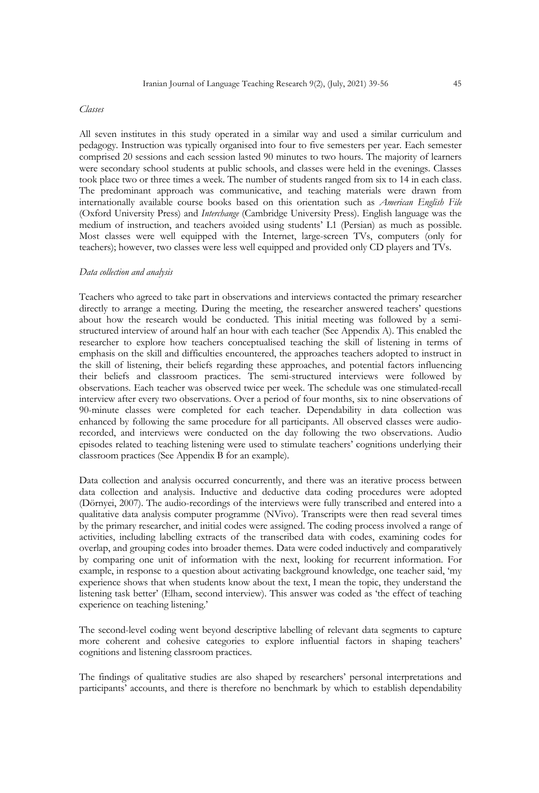#### *Classes*

All seven institutes in this study operated in a similar way and used a similar curriculum and pedagogy. Instruction was typically organised into four to five semesters per year. Each semester comprised 20 sessions and each session lasted 90 minutes to two hours. The majority of learners were secondary school students at public schools, and classes were held in the evenings. Classes took place two or three times a week. The number of students ranged from six to 14 in each class. The predominant approach was communicative, and teaching materials were drawn from internationally available course books based on this orientation such as *American English File* (Oxford University Press) and *Interchange* (Cambridge University Press). English language was the medium of instruction, and teachers avoided using students' L1 (Persian) as much as possible. Most classes were well equipped with the Internet, large-screen TVs, computers (only for teachers); however, two classes were less well equipped and provided only CD players and TVs.

#### *Data collection and analysis*

Teachers who agreed to take part in observations and interviews contacted the primary researcher directly to arrange a meeting. During the meeting, the researcher answered teachers' questions about how the research would be conducted. This initial meeting was followed by a semistructured interview of around half an hour with each teacher (See Appendix A). This enabled the researcher to explore how teachers conceptualised teaching the skill of listening in terms of emphasis on the skill and difficulties encountered, the approaches teachers adopted to instruct in the skill of listening, their beliefs regarding these approaches, and potential factors influencing their beliefs and classroom practices. The semi-structured interviews were followed by observations. Each teacher was observed twice per week. The schedule was one stimulated-recall interview after every two observations. Over a period of four months, six to nine observations of 90-minute classes were completed for each teacher. Dependability in data collection was enhanced by following the same procedure for all participants. All observed classes were audiorecorded, and interviews were conducted on the day following the two observations. Audio episodes related to teaching listening were used to stimulate teachers' cognitions underlying their classroom practices (See Appendix B for an example).

Data collection and analysis occurred concurrently, and there was an iterative process between data collection and analysis. Inductive and deductive data coding procedures were adopted (Dörnyei, 2007). The audio-recordings of the interviews were fully transcribed and entered into a qualitative data analysis computer programme (NVivo). Transcripts were then read several times by the primary researcher, and initial codes were assigned. The coding process involved a range of activities, including labelling extracts of the transcribed data with codes, examining codes for overlap, and grouping codes into broader themes. Data were coded inductively and comparatively by comparing one unit of information with the next, looking for recurrent information. For example, in response to a question about activating background knowledge, one teacher said, 'my experience shows that when students know about the text, I mean the topic, they understand the listening task better' (Elham, second interview). This answer was coded as 'the effect of teaching experience on teaching listening.'

The second-level coding went beyond descriptive labelling of relevant data segments to capture more coherent and cohesive categories to explore influential factors in shaping teachers' cognitions and listening classroom practices.

The findings of qualitative studies are also shaped by researchers' personal interpretations and participants' accounts, and there is therefore no benchmark by which to establish dependability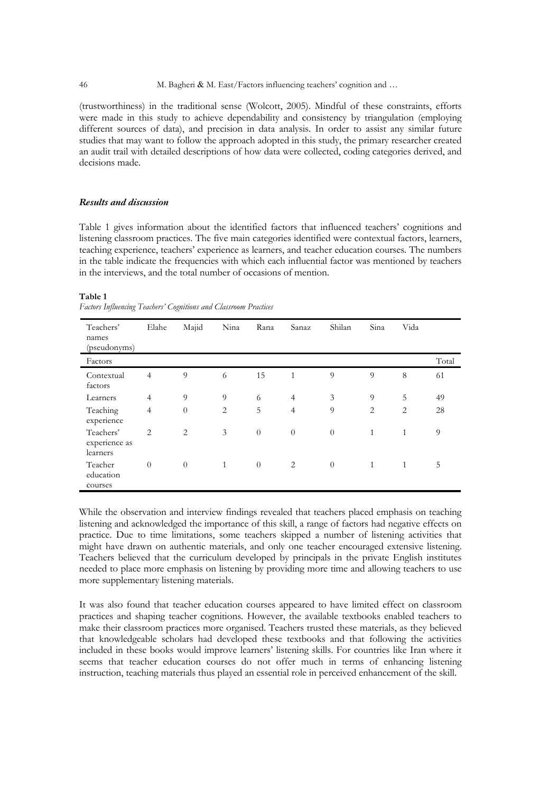(trustworthiness) in the traditional sense (Wolcott, 2005). Mindful of these constraints, efforts were made in this study to achieve dependability and consistency by triangulation (employing different sources of data), and precision in data analysis. In order to assist any similar future studies that may want to follow the approach adopted in this study, the primary researcher created an audit trail with detailed descriptions of how data were collected, coding categories derived, and decisions made.

#### *Results and discussion*

Table 1 gives information about the identified factors that influenced teachers' cognitions and listening classroom practices. The five main categories identified were contextual factors, learners, teaching experience, teachers' experience as learners, and teacher education courses. The numbers in the table indicate the frequencies with which each influential factor was mentioned by teachers in the interviews, and the total number of occasions of mention.

#### **Table 1**

*Factors Influencing Teachers' Cognitions and Classroom Practices*

| Teachers'<br>names<br>(pseudonyms)     | Elahe          | Majid          | Nina           | Rana     | Sanaz          | Shilan         | Sina           | Vida           |       |
|----------------------------------------|----------------|----------------|----------------|----------|----------------|----------------|----------------|----------------|-------|
| Factors                                |                |                |                |          |                |                |                |                | Total |
| Contextual<br>factors                  | $\overline{4}$ | $\overline{Q}$ | 6              | 15       | $\mathbf{1}$   | $\overline{Q}$ | $\overline{Q}$ | 8              | 61    |
| Learners                               | $\overline{4}$ | 9              | 9              | 6        | $\overline{4}$ | 3              | 9              | 5              | 49    |
| Teaching<br>experience                 | $\overline{4}$ | $\theta$       | $\overline{2}$ | 5        | $\overline{4}$ | 9              | $\overline{2}$ | $\overline{2}$ | 28    |
| Teachers'<br>experience as<br>learners | $\overline{2}$ | $\overline{c}$ | 3              | $\theta$ | $\theta$       | $\theta$       | $\mathbf{1}$   | 1              | 9     |
| Teacher<br>education<br>courses        | $\theta$       | $\theta$       | 1              | $\theta$ | 2              | $\theta$       | $\mathbf{1}$   | 1              | 5     |

While the observation and interview findings revealed that teachers placed emphasis on teaching listening and acknowledged the importance of this skill, a range of factors had negative effects on practice. Due to time limitations, some teachers skipped a number of listening activities that might have drawn on authentic materials, and only one teacher encouraged extensive listening. Teachers believed that the curriculum developed by principals in the private English institutes needed to place more emphasis on listening by providing more time and allowing teachers to use more supplementary listening materials.

It was also found that teacher education courses appeared to have limited effect on classroom practices and shaping teacher cognitions. However, the available textbooks enabled teachers to make their classroom practices more organised. Teachers trusted these materials, as they believed that knowledgeable scholars had developed these textbooks and that following the activities included in these books would improve learners' listening skills. For countries like Iran where it seems that teacher education courses do not offer much in terms of enhancing listening instruction, teaching materials thus played an essential role in perceived enhancement of the skill.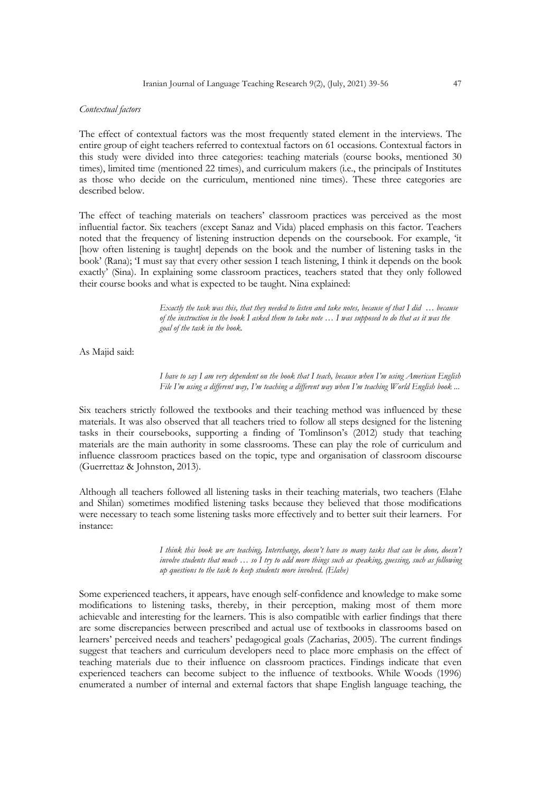#### *Contextual factors*

The effect of contextual factors was the most frequently stated element in the interviews. The entire group of eight teachers referred to contextual factors on 61 occasions. Contextual factors in this study were divided into three categories: teaching materials (course books, mentioned 30 times), limited time (mentioned 22 times), and curriculum makers (i.e., the principals of Institutes as those who decide on the curriculum, mentioned nine times). These three categories are described below.

The effect of teaching materials on teachers' classroom practices was perceived as the most influential factor. Six teachers (except Sanaz and Vida) placed emphasis on this factor. Teachers noted that the frequency of listening instruction depends on the coursebook. For example, 'it [how often listening is taught] depends on the book and the number of listening tasks in the book' (Rana); 'I must say that every other session I teach listening, I think it depends on the book exactly' (Sina). In explaining some classroom practices, teachers stated that they only followed their course books and what is expected to be taught. Nina explained:

> *Exactly the task was this, that they needed to listen and take notes, because of that I did … because of the instruction in the book I asked them to take note … I was supposed to do that as it was the goal of the task in the book.*

As Majid said:

*I have to say I am very dependent on the book that I teach, because when I'm using American English File I'm using a different way, I'm teaching a different way when I'm teaching World English book ...*

Six teachers strictly followed the textbooks and their teaching method was influenced by these materials. It was also observed that all teachers tried to follow all steps designed for the listening tasks in their coursebooks, supporting a finding of Tomlinson's (2012) study that teaching materials are the main authority in some classrooms. These can play the role of curriculum and influence classroom practices based on the topic, type and organisation of classroom discourse (Guerrettaz & Johnston, 2013).

Although all teachers followed all listening tasks in their teaching materials, two teachers (Elahe and Shilan) sometimes modified listening tasks because they believed that those modifications were necessary to teach some listening tasks more effectively and to better suit their learners. For instance:

> *I think this book we are teaching, Interchange, doesn't have so many tasks that can be done, doesn't involve students that much … so I try to add more things such as speaking, guessing, such as following up questions to the task to keep students more involved. (Elahe)*

Some experienced teachers, it appears, have enough self-confidence and knowledge to make some modifications to listening tasks, thereby, in their perception, making most of them more achievable and interesting for the learners. This is also compatible with earlier findings that there are some discrepancies between prescribed and actual use of textbooks in classrooms based on learners' perceived needs and teachers' pedagogical goals (Zacharias, 2005). The current findings suggest that teachers and curriculum developers need to place more emphasis on the effect of teaching materials due to their influence on classroom practices. Findings indicate that even experienced teachers can become subject to the influence of textbooks. While Woods (1996) enumerated a number of internal and external factors that shape English language teaching, the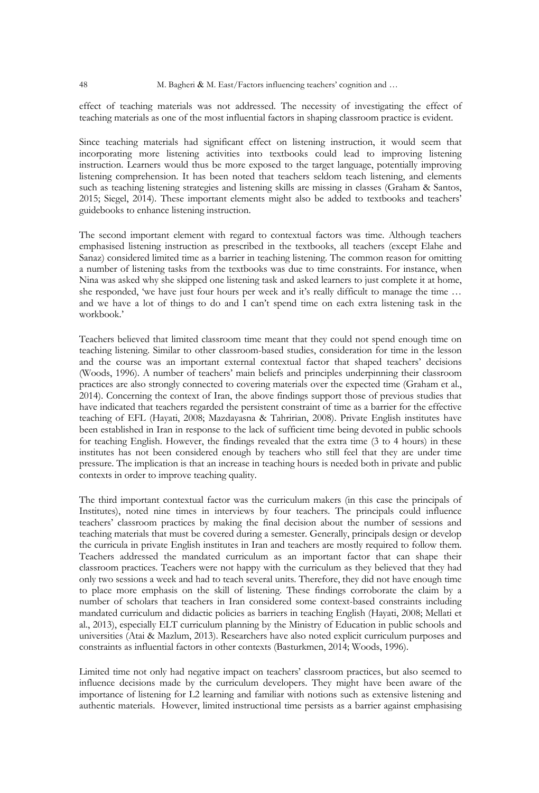effect of teaching materials was not addressed. The necessity of investigating the effect of teaching materials as one of the most influential factors in shaping classroom practice is evident.

Since teaching materials had significant effect on listening instruction, it would seem that incorporating more listening activities into textbooks could lead to improving listening instruction. Learners would thus be more exposed to the target language, potentially improving listening comprehension. It has been noted that teachers seldom teach listening, and elements such as teaching listening strategies and listening skills are missing in classes (Graham & Santos, 2015; Siegel, 2014). These important elements might also be added to textbooks and teachers' guidebooks to enhance listening instruction.

The second important element with regard to contextual factors was time. Although teachers emphasised listening instruction as prescribed in the textbooks, all teachers (except Elahe and Sanaz) considered limited time as a barrier in teaching listening. The common reason for omitting a number of listening tasks from the textbooks was due to time constraints. For instance, when Nina was asked why she skipped one listening task and asked learners to just complete it at home, she responded, 'we have just four hours per week and it's really difficult to manage the time … and we have a lot of things to do and I can't spend time on each extra listening task in the workbook.'

Teachers believed that limited classroom time meant that they could not spend enough time on teaching listening. Similar to other classroom-based studies, consideration for time in the lesson and the course was an important external contextual factor that shaped teachers' decisions (Woods, 1996). A number of teachers' main beliefs and principles underpinning their classroom practices are also strongly connected to covering materials over the expected time (Graham et al., 2014). Concerning the context of Iran, the above findings support those of previous studies that have indicated that teachers regarded the persistent constraint of time as a barrier for the effective teaching of EFL (Hayati, 2008; Mazdayasna & Tahririan, 2008). Private English institutes have been established in Iran in response to the lack of sufficient time being devoted in public schools for teaching English. However, the findings revealed that the extra time (3 to 4 hours) in these institutes has not been considered enough by teachers who still feel that they are under time pressure. The implication is that an increase in teaching hours is needed both in private and public contexts in order to improve teaching quality.

The third important contextual factor was the curriculum makers (in this case the principals of Institutes), noted nine times in interviews by four teachers. The principals could influence teachers' classroom practices by making the final decision about the number of sessions and teaching materials that must be covered during a semester. Generally, principals design or develop the curricula in private English institutes in Iran and teachers are mostly required to follow them. Teachers addressed the mandated curriculum as an important factor that can shape their classroom practices. Teachers were not happy with the curriculum as they believed that they had only two sessions a week and had to teach several units. Therefore, they did not have enough time to place more emphasis on the skill of listening. These findings corroborate the claim by a number of scholars that teachers in Iran considered some context-based constraints including mandated curriculum and didactic policies as barriers in teaching English (Hayati, 2008; Mellati et al., 2013), especially ELT curriculum planning by the Ministry of Education in public schools and universities (Atai & Mazlum, 2013). Researchers have also noted explicit curriculum purposes and constraints as influential factors in other contexts (Basturkmen, 2014; Woods, 1996).

Limited time not only had negative impact on teachers' classroom practices, but also seemed to influence decisions made by the curriculum developers. They might have been aware of the importance of listening for L2 learning and familiar with notions such as extensive listening and authentic materials. However, limited instructional time persists as a barrier against emphasising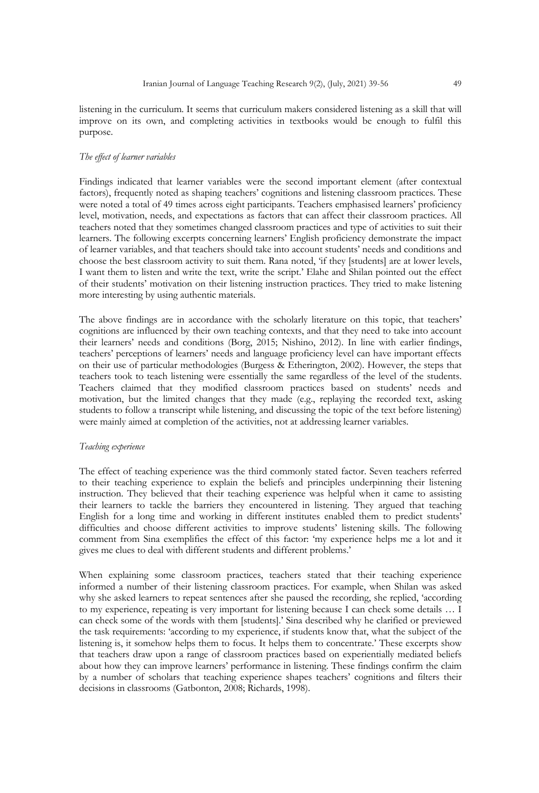listening in the curriculum. It seems that curriculum makers considered listening as a skill that will improve on its own, and completing activities in textbooks would be enough to fulfil this purpose.

#### *The effect of learner variables*

Findings indicated that learner variables were the second important element (after contextual factors), frequently noted as shaping teachers' cognitions and listening classroom practices. These were noted a total of 49 times across eight participants. Teachers emphasised learners' proficiency level, motivation, needs, and expectations as factors that can affect their classroom practices. All teachers noted that they sometimes changed classroom practices and type of activities to suit their learners. The following excerpts concerning learners' English proficiency demonstrate the impact of learner variables, and that teachers should take into account students' needs and conditions and choose the best classroom activity to suit them. Rana noted, 'if they [students] are at lower levels, I want them to listen and write the text, write the script.' Elahe and Shilan pointed out the effect of their students' motivation on their listening instruction practices. They tried to make listening more interesting by using authentic materials.

The above findings are in accordance with the scholarly literature on this topic, that teachers' cognitions are influenced by their own teaching contexts, and that they need to take into account their learners' needs and conditions (Borg, 2015; Nishino, 2012). In line with earlier findings, teachers' perceptions of learners' needs and language proficiency level can have important effects on their use of particular methodologies (Burgess & Etherington, 2002). However, the steps that teachers took to teach listening were essentially the same regardless of the level of the students. Teachers claimed that they modified classroom practices based on students' needs and motivation, but the limited changes that they made (e.g., replaying the recorded text, asking students to follow a transcript while listening, and discussing the topic of the text before listening) were mainly aimed at completion of the activities, not at addressing learner variables.

## *Teaching experience*

The effect of teaching experience was the third commonly stated factor. Seven teachers referred to their teaching experience to explain the beliefs and principles underpinning their listening instruction. They believed that their teaching experience was helpful when it came to assisting their learners to tackle the barriers they encountered in listening. They argued that teaching English for a long time and working in different institutes enabled them to predict students' difficulties and choose different activities to improve students' listening skills. The following comment from Sina exemplifies the effect of this factor: 'my experience helps me a lot and it gives me clues to deal with different students and different problems.'

When explaining some classroom practices, teachers stated that their teaching experience informed a number of their listening classroom practices. For example, when Shilan was asked why she asked learners to repeat sentences after she paused the recording, she replied, 'according to my experience, repeating is very important for listening because I can check some details … I can check some of the words with them [students].' Sina described why he clarified or previewed the task requirements: 'according to my experience, if students know that, what the subject of the listening is, it somehow helps them to focus. It helps them to concentrate.' These excerpts show that teachers draw upon a range of classroom practices based on experientially mediated beliefs about how they can improve learners' performance in listening. These findings confirm the claim by a number of scholars that teaching experience shapes teachers' cognitions and filters their decisions in classrooms (Gatbonton, 2008; Richards, 1998).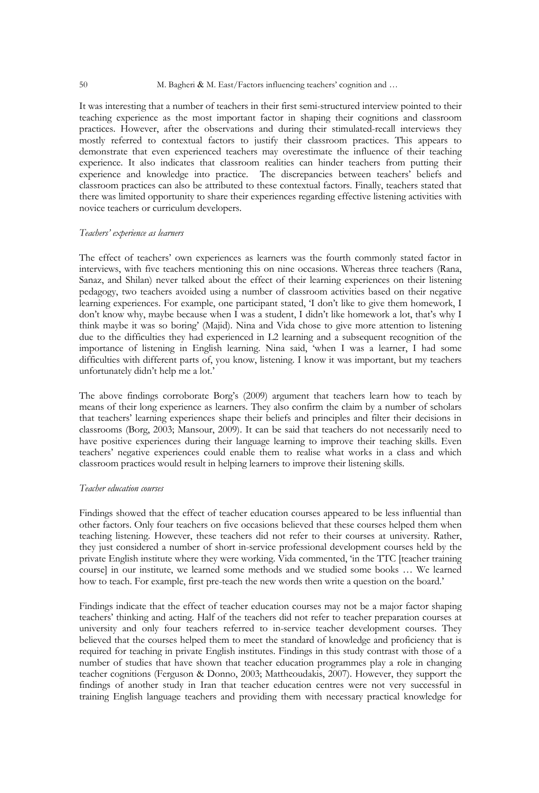#### 50 M. Bagheri & M. East/Factors influencing teachers' cognition and …

It was interesting that a number of teachers in their first semi-structured interview pointed to their teaching experience as the most important factor in shaping their cognitions and classroom practices. However, after the observations and during their stimulated-recall interviews they mostly referred to contextual factors to justify their classroom practices. This appears to demonstrate that even experienced teachers may overestimate the influence of their teaching experience. It also indicates that classroom realities can hinder teachers from putting their experience and knowledge into practice. The discrepancies between teachers' beliefs and classroom practices can also be attributed to these contextual factors. Finally, teachers stated that there was limited opportunity to share their experiences regarding effective listening activities with novice teachers or curriculum developers.

#### *Teachers' experience as learners*

The effect of teachers' own experiences as learners was the fourth commonly stated factor in interviews, with five teachers mentioning this on nine occasions. Whereas three teachers (Rana, Sanaz, and Shilan) never talked about the effect of their learning experiences on their listening pedagogy, two teachers avoided using a number of classroom activities based on their negative learning experiences. For example, one participant stated, 'I don't like to give them homework, I don't know why, maybe because when I was a student, I didn't like homework a lot, that's why I think maybe it was so boring' (Majid). Nina and Vida chose to give more attention to listening due to the difficulties they had experienced in L2 learning and a subsequent recognition of the importance of listening in English learning. Nina said, 'when I was a learner, I had some difficulties with different parts of, you know, listening. I know it was important, but my teachers unfortunately didn't help me a lot.'

The above findings corroborate Borg's (2009) argument that teachers learn how to teach by means of their long experience as learners. They also confirm the claim by a number of scholars that teachers' learning experiences shape their beliefs and principles and filter their decisions in classrooms (Borg, 2003; Mansour, 2009). It can be said that teachers do not necessarily need to have positive experiences during their language learning to improve their teaching skills. Even teachers' negative experiences could enable them to realise what works in a class and which classroom practices would result in helping learners to improve their listening skills.

#### *Teacher education courses*

Findings showed that the effect of teacher education courses appeared to be less influential than other factors. Only four teachers on five occasions believed that these courses helped them when teaching listening. However, these teachers did not refer to their courses at university. Rather, they just considered a number of short in-service professional development courses held by the private English institute where they were working. Vida commented, 'in the TTC [teacher training course] in our institute, we learned some methods and we studied some books … We learned how to teach. For example, first pre-teach the new words then write a question on the board.'

Findings indicate that the effect of teacher education courses may not be a major factor shaping teachers' thinking and acting. Half of the teachers did not refer to teacher preparation courses at university and only four teachers referred to in-service teacher development courses. They believed that the courses helped them to meet the standard of knowledge and proficiency that is required for teaching in private English institutes. Findings in this study contrast with those of a number of studies that have shown that teacher education programmes play a role in changing teacher cognitions (Ferguson & Donno, 2003; Mattheoudakis, 2007). However, they support the findings of another study in Iran that teacher education centres were not very successful in training English language teachers and providing them with necessary practical knowledge for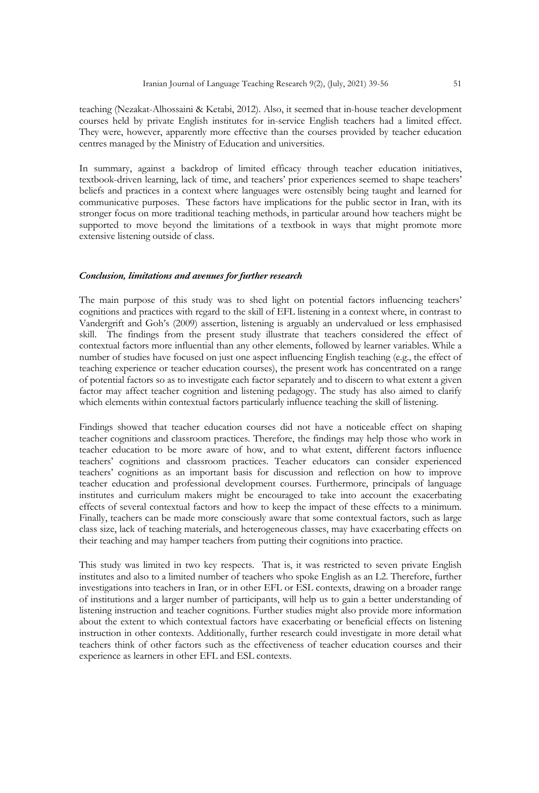teaching (Nezakat-Alhossaini & Ketabi, 2012). Also, it seemed that in-house teacher development courses held by private English institutes for in-service English teachers had a limited effect. They were, however, apparently more effective than the courses provided by teacher education centres managed by the Ministry of Education and universities.

In summary, against a backdrop of limited efficacy through teacher education initiatives, textbook-driven learning, lack of time, and teachers' prior experiences seemed to shape teachers' beliefs and practices in a context where languages were ostensibly being taught and learned for communicative purposes. These factors have implications for the public sector in Iran, with its stronger focus on more traditional teaching methods, in particular around how teachers might be supported to move beyond the limitations of a textbook in ways that might promote more extensive listening outside of class.

#### *Conclusion, limitations and avenues for further research*

The main purpose of this study was to shed light on potential factors influencing teachers' cognitions and practices with regard to the skill of EFL listening in a context where, in contrast to Vandergrift and Goh's (2009) assertion, listening is arguably an undervalued or less emphasised skill. The findings from the present study illustrate that teachers considered the effect of contextual factors more influential than any other elements, followed by learner variables. While a number of studies have focused on just one aspect influencing English teaching (e.g., the effect of teaching experience or teacher education courses), the present work has concentrated on a range of potential factors so as to investigate each factor separately and to discern to what extent a given factor may affect teacher cognition and listening pedagogy. The study has also aimed to clarify which elements within contextual factors particularly influence teaching the skill of listening.

Findings showed that teacher education courses did not have a noticeable effect on shaping teacher cognitions and classroom practices. Therefore, the findings may help those who work in teacher education to be more aware of how, and to what extent, different factors influence teachers' cognitions and classroom practices. Teacher educators can consider experienced teachers' cognitions as an important basis for discussion and reflection on how to improve teacher education and professional development courses. Furthermore, principals of language institutes and curriculum makers might be encouraged to take into account the exacerbating effects of several contextual factors and how to keep the impact of these effects to a minimum. Finally, teachers can be made more consciously aware that some contextual factors, such as large class size, lack of teaching materials, and heterogeneous classes, may have exacerbating effects on their teaching and may hamper teachers from putting their cognitions into practice.

This study was limited in two key respects. That is, it was restricted to seven private English institutes and also to a limited number of teachers who spoke English as an L2. Therefore, further investigations into teachers in Iran, or in other EFL or ESL contexts, drawing on a broader range of institutions and a larger number of participants, will help us to gain a better understanding of listening instruction and teacher cognitions. Further studies might also provide more information about the extent to which contextual factors have exacerbating or beneficial effects on listening instruction in other contexts. Additionally, further research could investigate in more detail what teachers think of other factors such as the effectiveness of teacher education courses and their experience as learners in other EFL and ESL contexts.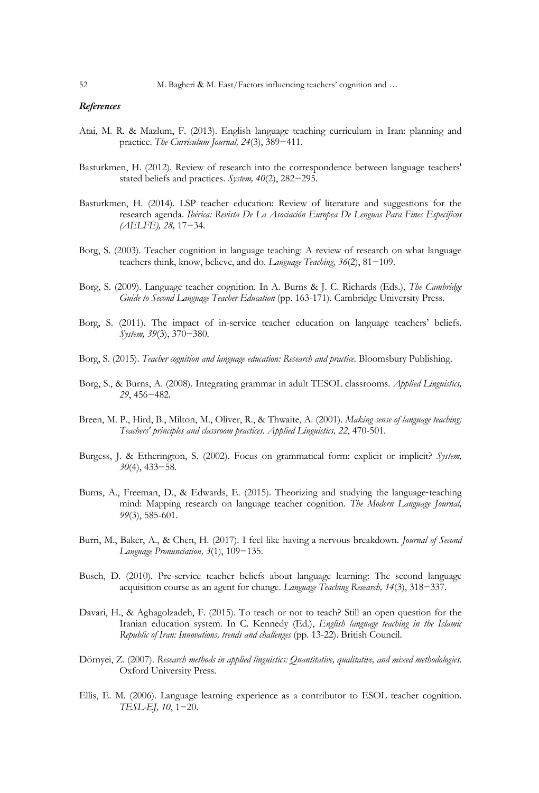## *References*

- Atai, M. R. & Mazlum, F. (2013). English language teaching curriculum in Iran: planning and practice. *The Curriculum Journal, 24*(3), 389−411.
- Basturkmen, H. (2012). Review of research into the correspondence between language teachers' stated beliefs and practices. *System, 40*(2), 282−295.
- Basturkmen, H. (2014). LSP teacher education: Review of literature and suggestions for the research agenda. *Ibérica: Revista De La Asociación Europea De Lenguas Para Fines Específicos (AELFE), 28,* 17−34.
- Borg, S. (2003). Teacher cognition in language teaching: A review of research on what language teachers think, know, believe, and do. *Language Teaching, 36*(2), 81−109.
- Borg, S. (2009). Language teacher cognition. In A. Burns & J. C. Richards (Eds.), *The Cambridge Guide to Second Language Teacher Education* (pp. 163-171). Cambridge University Press.
- Borg, S. (2011). The impact of in-service teacher education on language teachers' beliefs. *System, 39*(3), 370−380.
- Borg, S. (2015). *Teacher cognition and language education: Research and practice.* Bloomsbury Publishing.
- Borg, S., & Burns, A. (2008). Integrating grammar in adult TESOL classrooms. *Applied Linguistics, 29*, 456−482.
- Breen, M. P., Hird, B., Milton, M., Oliver, R., & Thwaite, A. (2001). *Making sense of language teaching: Teachers' principles and classroom practices. Applied Linguistics, 22*, 470-501.
- Burgess, J. & Etherington, S. (2002). Focus on grammatical form: explicit or implicit? *System, 30*(4), 433−58.
- Burns, A., Freeman, D., & Edwards, E. (2015). Theorizing and studying the language-teaching mind: Mapping research on language teacher cognition. *The Modern Language Journal, 99*(3), 585-601.
- Burri, M., Baker, A., & Chen, H. (2017). I feel like having a nervous breakdown. *Journal of Second Language Pronunciation, 3*(1), 109−135.
- Busch, D. (2010). Pre-service teacher beliefs about language learning: The second language acquisition course as an agent for change. *Language Teaching Research, 14*(3), 318−337.
- Davari, H., & Aghagolzadeh, F. (2015). To teach or not to teach? Still an open question for the Iranian education system. In C. Kennedy (Ed.), *English language teaching in the Islamic Republic of Iran: Innovations, trends and challenges* (pp. 13-22). British Council.
- Dörnyei, Z. (2007). *Research methods in applied linguistics: Quantitative, qualitative, and mixed methodologies*. Oxford University Press.
- Ellis, E. M. (2006). Language learning experience as a contributor to ESOL teacher cognition. *TESL-EJ, 10*, 1−20.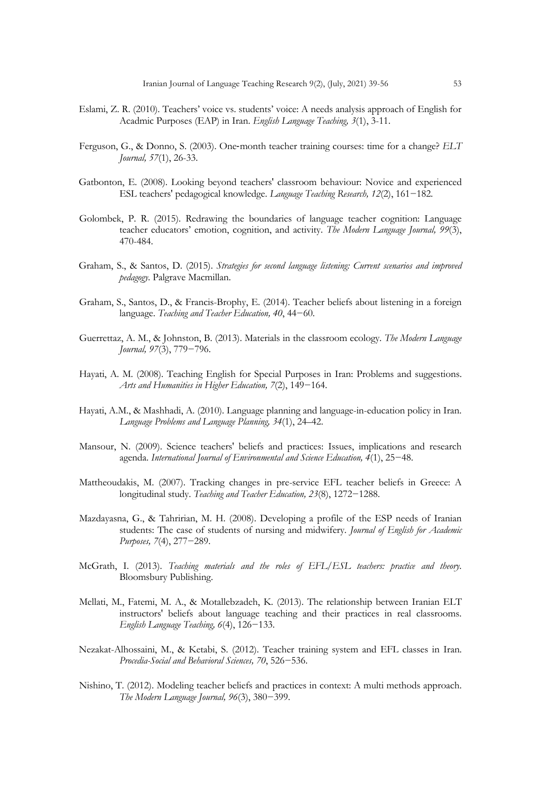- Eslami, Z. R. (2010). Teachers' voice vs. students' voice: A needs analysis approach of English for Acadmic Purposes (EAP) in Iran. *English Language Teaching, 3*(1), 3-11.
- Ferguson, G., & Donno, S. (2003). One-month teacher training courses: time for a change? *ELT Journal, 57*(1), 26-33.
- Gatbonton, E. (2008). Looking beyond teachers' classroom behaviour: Novice and experienced ESL teachers' pedagogical knowledge. *Language Teaching Research, 12*(2), 161−182.
- Golombek, P. R. (2015). Redrawing the boundaries of language teacher cognition: Language teacher educators' emotion, cognition, and activity. *The Modern Language Journal, 99*(3), 470-484.
- Graham, S., & Santos, D. (2015). *Strategies for second language listening: Current scenarios and improved pedagogy*. Palgrave Macmillan.
- Graham, S., Santos, D., & Francis-Brophy, E. (2014). Teacher beliefs about listening in a foreign language. *Teaching and Teacher Education, 40*, 44−60.
- Guerrettaz, A. M., & Johnston, B. (2013). Materials in the classroom ecology. *The Modern Language Journal, 97*(3), 779−796.
- Hayati, A. M. (2008). Teaching English for Special Purposes in Iran: Problems and suggestions. *Arts and Humanities in Higher Education, 7*(2), 149−164.
- Hayati, A.M., & Mashhadi, A. (2010). Language planning and language-in-education policy in Iran. *Language Problems and Language Planning, 34*(1), 24–42.
- Mansour, N. (2009). Science teachers' beliefs and practices: Issues, implications and research agenda. *International Journal of Environmental and Science Education, 4*(1), 25−48.
- Mattheoudakis, M. (2007). Tracking changes in pre-service EFL teacher beliefs in Greece: A longitudinal study. *Teaching and Teacher Education, 23*(8), 1272−1288.
- Mazdayasna, G., & Tahririan, M. H. (2008). Developing a profile of the ESP needs of Iranian students: The case of students of nursing and midwifery. *Journal of English for Academic Purposes, 7*(4), 277−289.
- McGrath, I. (2013). *Teaching materials and the roles of EFL/ESL teachers: practice and theory*. Bloomsbury Publishing.
- Mellati, M., Fatemi, M. A., & Motallebzadeh, K. (2013). The relationship between Iranian ELT instructors' beliefs about language teaching and their practices in real classrooms. *English Language Teaching, 6*(4), 126−133.
- Nezakat-Alhossaini, M., & Ketabi, S. (2012). Teacher training system and EFL classes in Iran. *Procedia-Social and Behavioral Sciences, 70*, 526−536.
- Nishino, T. (2012). Modeling teacher beliefs and practices in context: A multi methods approach. *The Modern Language Journal, 96*(3), 380−399.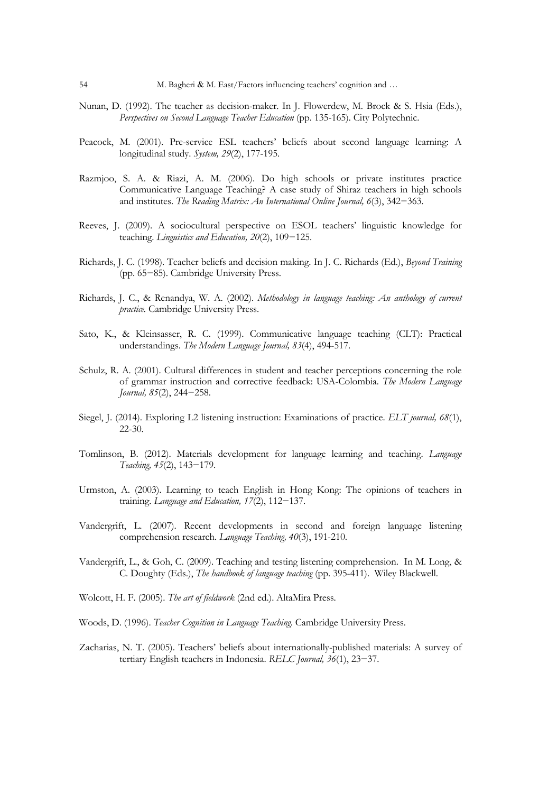- Nunan, D. (1992). The teacher as decision-maker. In J. Flowerdew, M. Brock & S. Hsia (Eds.), *Perspectives on Second Language Teacher Education* (pp. 135-165). City Polytechnic.
- Peacock, M. (2001). Pre-service ESL teachers' beliefs about second language learning: A longitudinal study. *System, 29*(2), 177-195.
- Razmjoo, S. A. & Riazi, A. M. (2006). Do high schools or private institutes practice Communicative Language Teaching? A case study of Shiraz teachers in high schools and institutes. *The Reading Matrix: An International Online Journal, 6*(3), 342−363.
- Reeves, J. (2009). A sociocultural perspective on ESOL teachers' linguistic knowledge for teaching. *Linguistics and Education, 20*(2), 109−125.
- Richards, J. C. (1998). Teacher beliefs and decision making. In J. C. Richards (Ed.), *Beyond Training* (pp. 65−85). Cambridge University Press.
- Richards, J. C., & Renandya, W. A. (2002). *Methodology in language teaching: An anthology of current practice.* Cambridge University Press.
- Sato, K., & Kleinsasser, R. C. (1999). Communicative language teaching (CLT): Practical understandings. *The Modern Language Journal, 83*(4), 494-517.
- Schulz, R. A. (2001). Cultural differences in student and teacher perceptions concerning the role of grammar instruction and corrective feedback: USA-Colombia. *The Modern Language Journal, 85*(2), 244−258.
- Siegel, J. (2014). Exploring L2 listening instruction: Examinations of practice. *ELT journal, 68*(1), 22-30.
- Tomlinson, B. (2012). Materials development for language learning and teaching. *Language Teaching, 45*(2), 143−179.
- Urmston, A. (2003). Learning to teach English in Hong Kong: The opinions of teachers in training. *Language and Education, 17*(2), 112−137.
- Vandergrift, L. (2007). Recent developments in second and foreign language listening comprehension research. *Language Teaching, 40*(3), 191-210.
- Vandergrift, L., & Goh, C. (2009). Teaching and testing listening comprehension. In M. Long, & C. Doughty (Eds.), *The handbook of language teaching* (pp. 395-411). Wiley Blackwell.
- Wolcott, H. F. (2005). *The art of fieldwork* (2nd ed.). AltaMira Press.
- Woods, D. (1996). *Teacher Cognition in Language Teaching*. Cambridge University Press.
- Zacharias, N. T. (2005). Teachers' beliefs about internationally-published materials: A survey of tertiary English teachers in Indonesia. *RELC Journal, 36*(1), 23−37.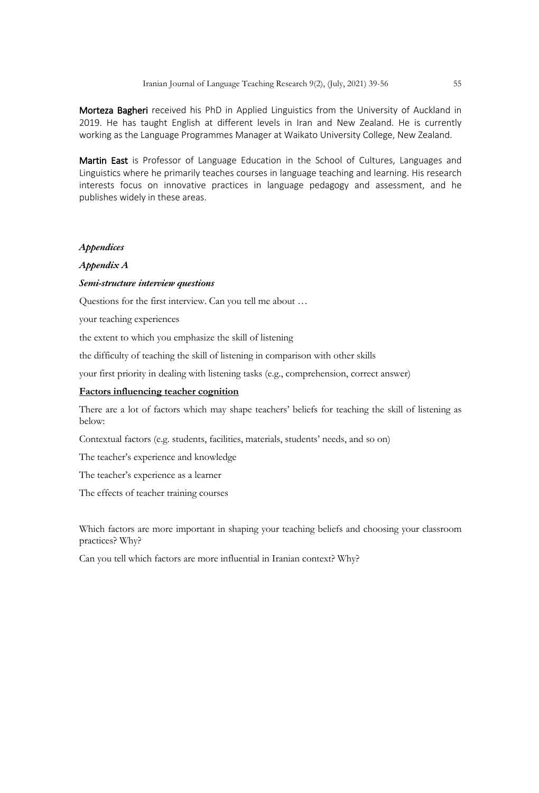Morteza Bagheri received his PhD in Applied Linguistics from the University of Auckland in 2019. He has taught English at different levels in Iran and New Zealand. He is currently working as the Language Programmes Manager at Waikato University College, New Zealand.

Martin East is Professor of Language Education in the School of Cultures, Languages and Linguistics where he primarily teaches courses in language teaching and learning. His research interests focus on innovative practices in language pedagogy and assessment, and he publishes widely in these areas.

# *Appendices*

# *Appendix A*

# *Semi-structure interview questions*

Questions for the first interview. Can you tell me about …

your teaching experiences

the extent to which you emphasize the skill of listening

the difficulty of teaching the skill of listening in comparison with other skills

your first priority in dealing with listening tasks (e.g., comprehension, correct answer)

# **Factors influencing teacher cognition**

There are a lot of factors which may shape teachers' beliefs for teaching the skill of listening as below:

Contextual factors (e.g. students, facilities, materials, students' needs, and so on)

The teacher's experience and knowledge

The teacher's experience as a learner

The effects of teacher training courses

Which factors are more important in shaping your teaching beliefs and choosing your classroom practices? Why?

Can you tell which factors are more influential in Iranian context? Why?